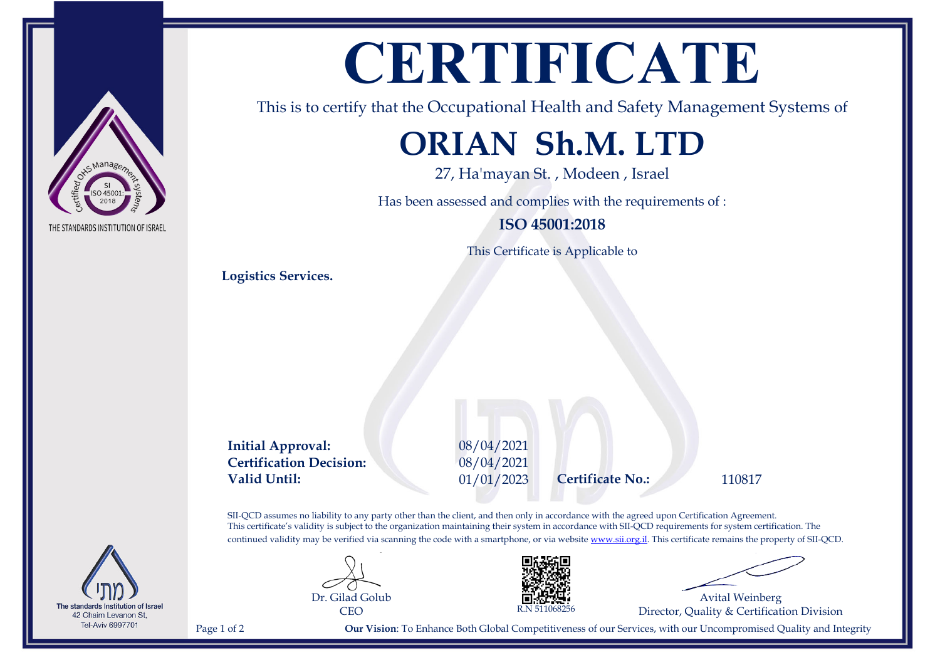# **CERTIFICATE**

This is to certify that the Occupational Health and Safety Management Systems of

## **ORIAN Sh.M. LTD**

27, Ha'mayan St. , Modeen , Israel

Has been assessed and complies with the requirements of :

**ISO 45001:2018**

This Certificate is Applicable to

**Logistics Services.**

**Initial Approval:** 08/04/2021 **Certification Decision:** 08/04/2021 **Valid Until:** 01/01/2023 **Certificate No.:** 110817

SII-QCD assumes no liability to any party other than the client, and then only in accordance with the agreed upon Certification Agreement. This certificate's validity is subject to the organization maintaining their system in accordance with SII-QCD requirements for system certification. The continued validity may be verified via scanning the code with a smartphone, or via website [www.sii.org.il.](http://www.sii.org.il) This certificate remains the property of SII-QCD.





Avital Weinberg Director, Quality & Certification Division

Page 1 of 2 **Our Vision**: To Enhance Both Global Competitiveness of our Services, with our Uncompromised Quality and Integrity



The standards Institution of Israel 42 Chaim Levanon St, **Tel-Aviv 6997701**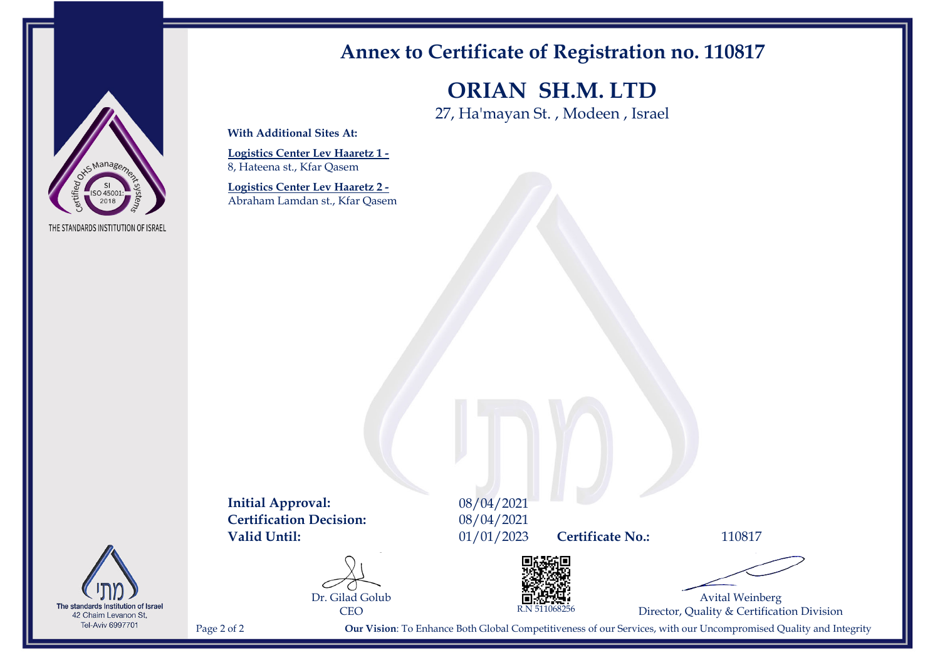

The standards Institution of Israel 42 Chaim Levanon St, Tel-Aviv 6997701

### **Annex to Certificate of Registration no. 110817**

**ORIAN SH.M. LTD**

27, Ha'mayan St. , Modeen , Israel

**With Additional Sites At:**

**Logistics Center Lev Haaretz 1 -** 8, Hateena st., Kfar Qasem

**Logistics Center Lev Haaretz 2 -** Abraham Lamdan st., Kfar Qasem

**Initial Approval:** 08/04/2021<br>**Certification Decision:** 08/04/2021 **Certification Decision: Valid Until:** 01/01/2023 **Certificate No.:** 110817

Dr. Gilad Golub





Avital Weinberg Director, Quality & Certification Division

Page 2 of 2 **Our Vision**: To Enhance Both Global Competitiveness of our Services, with our Uncompromised Quality and Integrity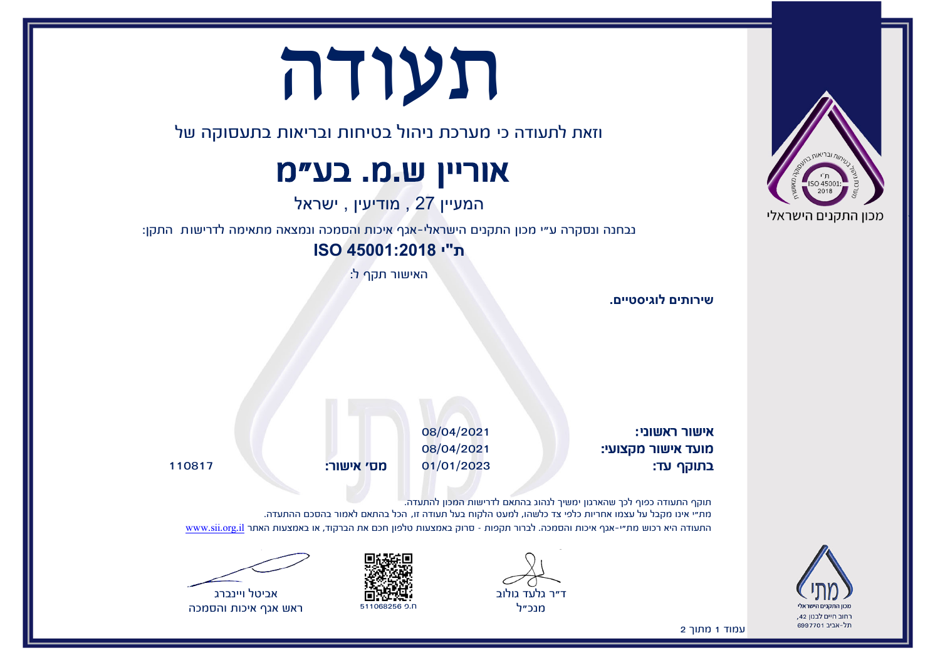# תעודה

וזאת לתעודה כי מערכת ניהול בטיחות ובריאות בתעסוקה של

### אוריין ש.מ. בע"מ

המעיין 27 , מודיעין , ישראל

נבחנה ונסקרה ע"י מכון התקנים הישראלי-אגף איכות והסמכה ונמצאה מתאימה לדרישות התקן:

**ת"י 45001:2018 ISO**

האישור תקף ל:

**שירותים לוגיסטיים.**

אישור ראשוני: 08/04/2021 מועד אישור מקצועי: 08/04/2021 בתוקף עד: 01/01/2023 מס' אישור: 110817

תוקף התעודה כפוף לכך שהארגון ימשיך לנהוג בהתאם לדרישות המכון להתעדה. מת"י אינו מקבל על עצמו אחריות כלפי צד כלשהו, למעט הלקוח בעל תעודה זו, הכל בהתאם לאמור בהסכם ההתעדה. התעודה היא רכוש מת"י-אגף איכות והסמכה. לברור תקפות – סרוק באמצעות טלפון חכם את הברקוד, או באמצעות האתר [il.org.sii.www](http://www.sii.org.il)









ראש אגף איכות והסמכה

עמוד 1 מתוך 2



רחוב חיים לבנון 42, תל-אריר 6997701

'